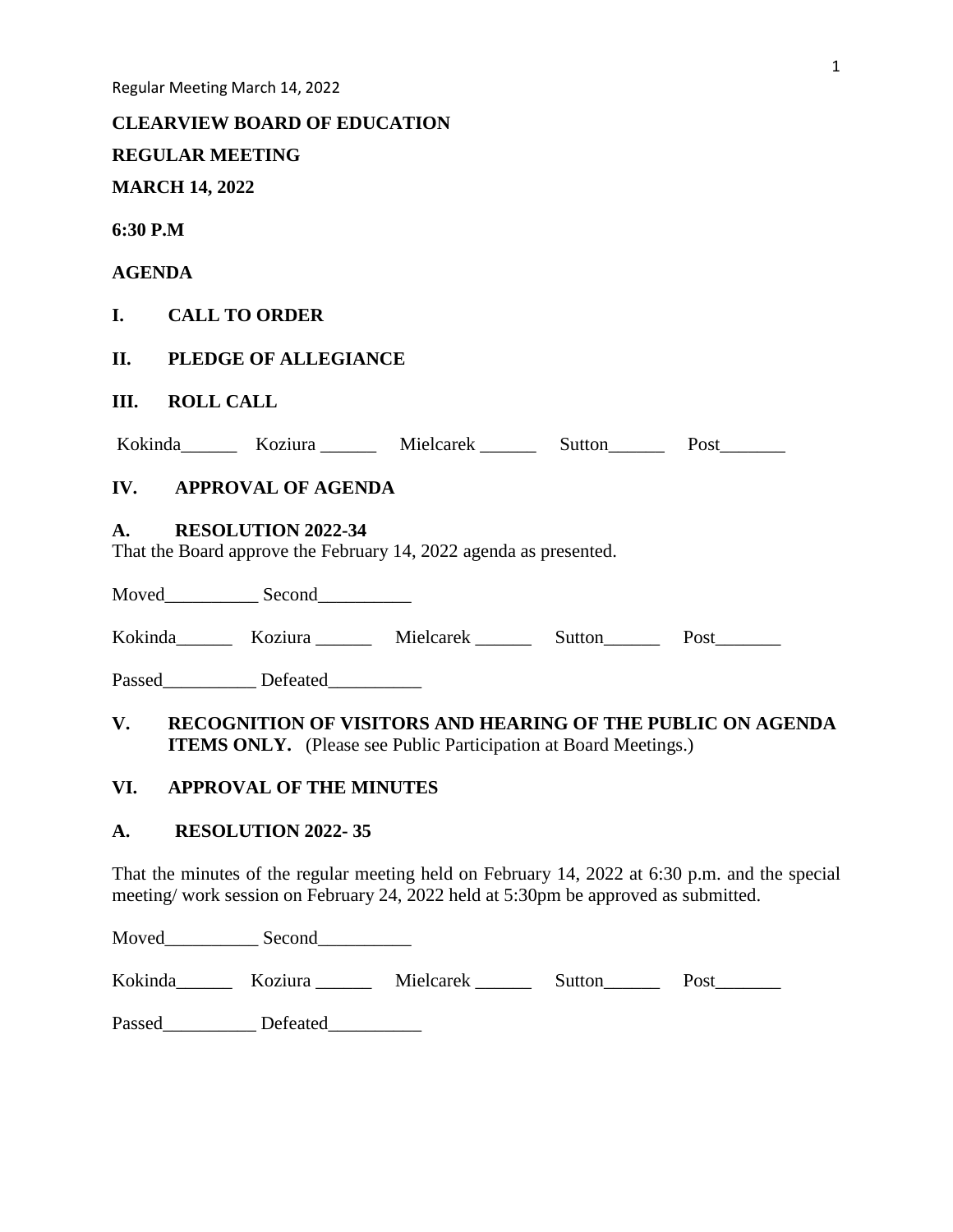|                |                             | <b>CLEARVIEW BOARD OF EDUCATION</b> |                                                                         |  |                                                                    |  |  |  |  |  |  |
|----------------|-----------------------------|-------------------------------------|-------------------------------------------------------------------------|--|--------------------------------------------------------------------|--|--|--|--|--|--|
|                |                             | <b>REGULAR MEETING</b>              |                                                                         |  |                                                                    |  |  |  |  |  |  |
|                | <b>MARCH 14, 2022</b>       |                                     |                                                                         |  |                                                                    |  |  |  |  |  |  |
| 6:30 P.M       |                             |                                     |                                                                         |  |                                                                    |  |  |  |  |  |  |
| <b>AGENDA</b>  |                             |                                     |                                                                         |  |                                                                    |  |  |  |  |  |  |
|                | I. CALL TO ORDER            |                                     |                                                                         |  |                                                                    |  |  |  |  |  |  |
| П.             | <b>PLEDGE OF ALLEGIANCE</b> |                                     |                                                                         |  |                                                                    |  |  |  |  |  |  |
| Ш.             | <b>ROLL CALL</b>            |                                     |                                                                         |  |                                                                    |  |  |  |  |  |  |
|                |                             |                                     | Kokinda Koziura Mielcarek Sutton Post                                   |  |                                                                    |  |  |  |  |  |  |
|                |                             | <b>IV. APPROVAL OF AGENDA</b>       |                                                                         |  |                                                                    |  |  |  |  |  |  |
| $\mathbf{A}$ . |                             | RESOLUTION 2022-34                  | That the Board approve the February 14, 2022 agenda as presented.       |  |                                                                    |  |  |  |  |  |  |
|                |                             |                                     |                                                                         |  |                                                                    |  |  |  |  |  |  |
|                |                             |                                     | Kokinda Koziura Mielcarek Sutton Post                                   |  |                                                                    |  |  |  |  |  |  |
|                |                             | Passed Defeated                     |                                                                         |  |                                                                    |  |  |  |  |  |  |
| $V_{\cdot}$    |                             |                                     | <b>ITEMS ONLY.</b> (Please see Public Participation at Board Meetings.) |  | <b>RECOGNITION OF VISITORS AND HEARING OF THE PUBLIC ON AGENDA</b> |  |  |  |  |  |  |
| VI.            |                             | <b>APPROVAL OF THE MINUTES</b>      |                                                                         |  |                                                                    |  |  |  |  |  |  |
| A.             |                             | <b>RESOLUTION 2022-35</b>           |                                                                         |  |                                                                    |  |  |  |  |  |  |

That the minutes of the regular meeting held on February 14, 2022 at 6:30 p.m. and the special meeting/ work session on February 24, 2022 held at 5:30pm be approved as submitted.

Moved\_\_\_\_\_\_\_\_\_\_\_\_\_ Second\_\_\_\_\_\_\_\_\_\_\_\_\_

Kokinda\_\_\_\_\_\_\_ Koziura \_\_\_\_\_\_ Mielcarek \_\_\_\_\_\_ Sutton\_\_\_\_\_\_ Post\_\_\_\_\_\_\_

Passed\_\_\_\_\_\_\_\_\_\_\_\_ Defeated\_\_\_\_\_\_\_\_\_\_\_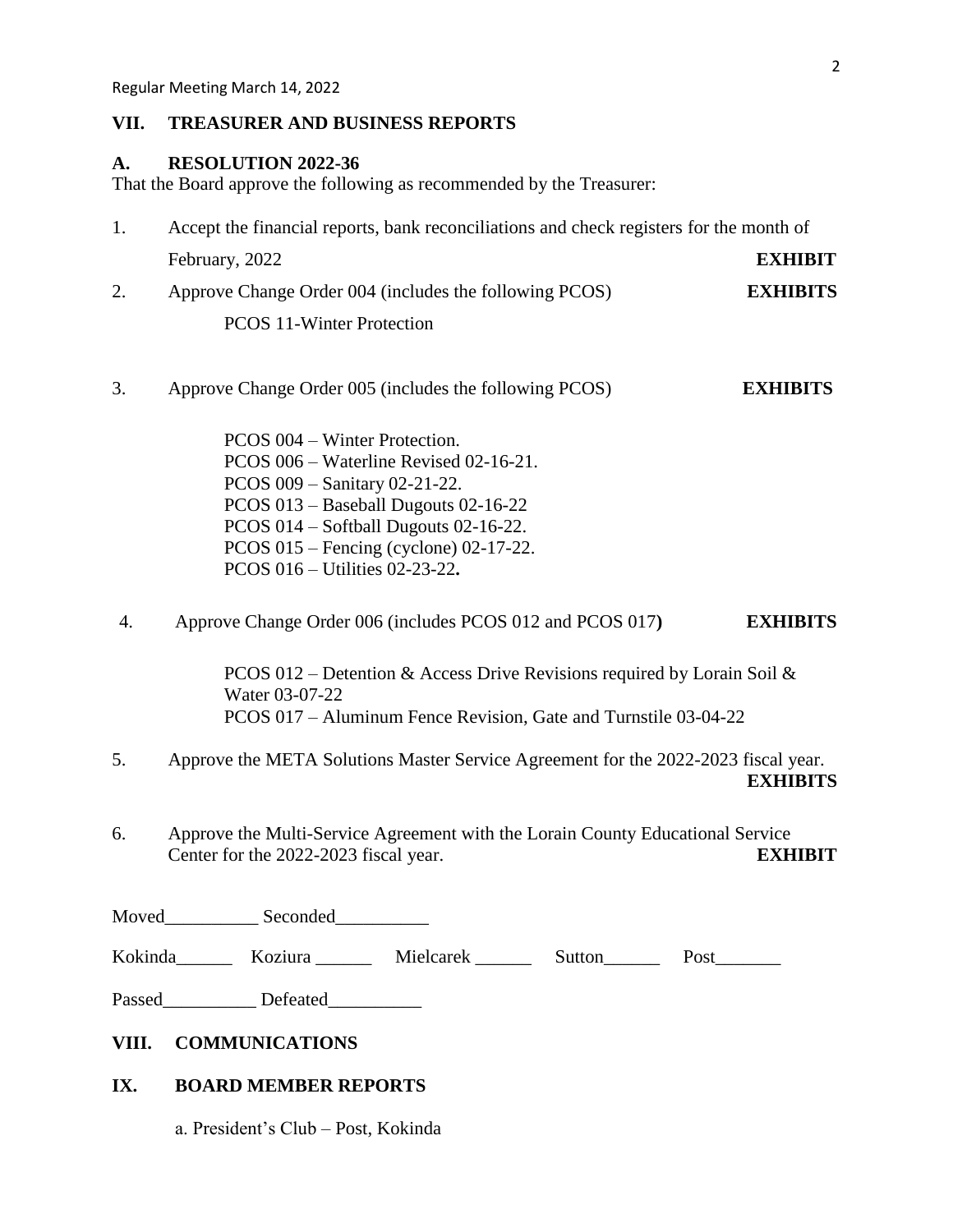## **VII. TREASURER AND BUSINESS REPORTS**

## **A. RESOLUTION 2022-36**

That the Board approve the following as recommended by the Treasurer:

| Accept the financial reports, bank reconciliations and check registers for the month of |                 |  |  |  |  |
|-----------------------------------------------------------------------------------------|-----------------|--|--|--|--|
| February, 2022                                                                          | <b>EXHIBIT</b>  |  |  |  |  |
| Approve Change Order 004 (includes the following PCOS)                                  | <b>EXHIBITS</b> |  |  |  |  |
| <b>PCOS 11-Winter Protection</b>                                                        |                 |  |  |  |  |

- 3. Approve Change Order 005 (includes the following PCOS) **EXHIBITS**
	- PCOS 004 Winter Protection. PCOS 006 – Waterline Revised 02-16-21. PCOS 009 – Sanitary 02-21-22. PCOS 013 – Baseball Dugouts 02-16-22 PCOS 014 – Softball Dugouts 02-16-22. PCOS 015 – Fencing (cyclone) 02-17-22. PCOS 016 – Utilities 02-23-22**.**
- 4. Approve Change Order 006 (includes PCOS 012 and PCOS 017**) EXHIBITS**

PCOS 012 – Detention & Access Drive Revisions required by Lorain Soil & Water 03-07-22 PCOS 017 – Aluminum Fence Revision, Gate and Turnstile 03-04-22

- 5. Approve the META Solutions Master Service Agreement for the 2022-2023 fiscal year. **EXHIBITS**
- 6. Approve the Multi-Service Agreement with the Lorain County Educational Service Center for the 2022-2023 fiscal year. **EXHIBIT**

Moved Seconded

Kokinda\_\_\_\_\_\_ Koziura \_\_\_\_\_\_ Mielcarek \_\_\_\_\_\_ Sutton\_\_\_\_\_\_ Post\_\_\_\_\_\_\_

Passed\_\_\_\_\_\_\_\_\_\_\_ Defeated\_\_\_\_\_\_\_\_\_\_

# **VIII. COMMUNICATIONS**

# **IX. BOARD MEMBER REPORTS**

a. President's Club – Post, Kokinda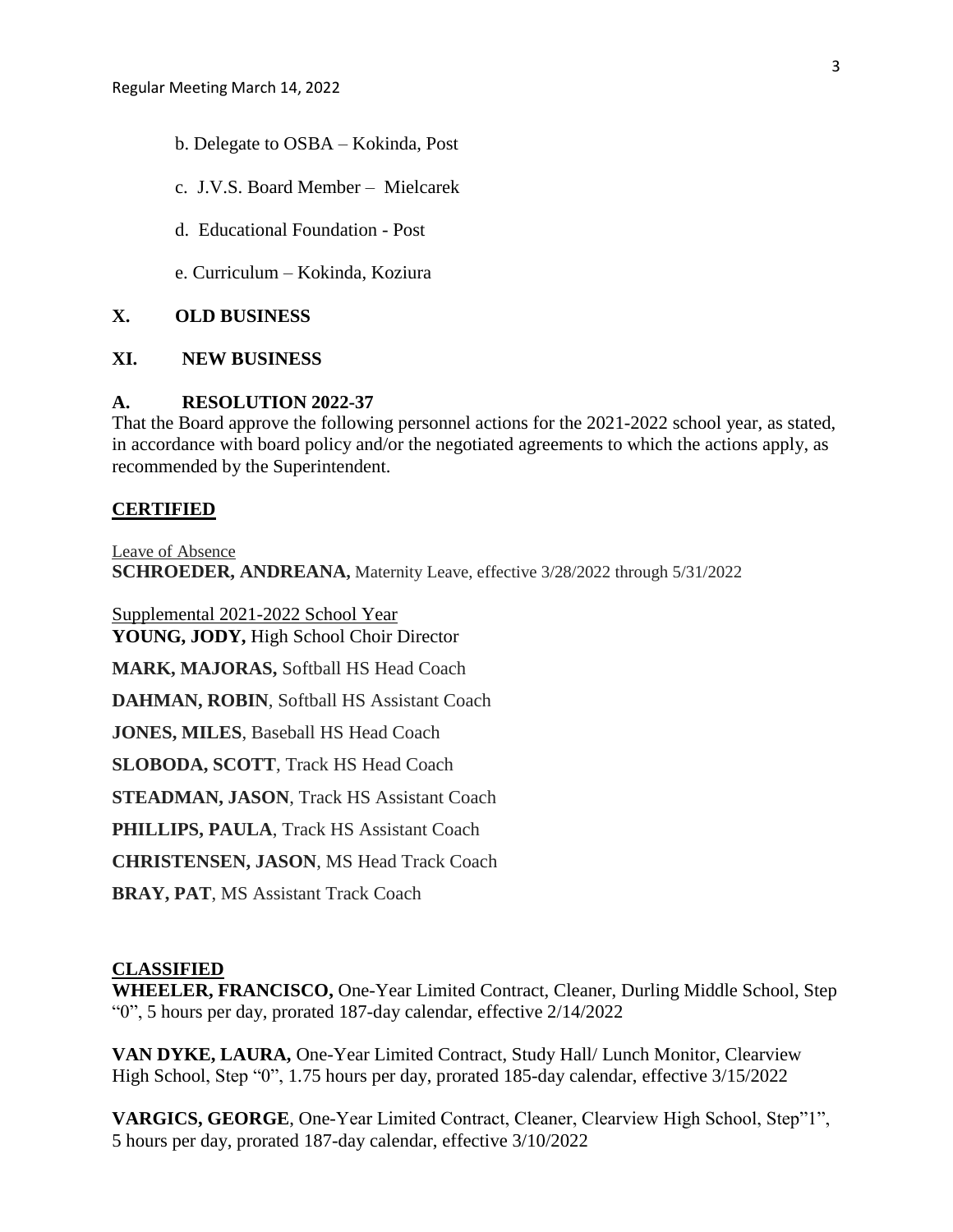- b. Delegate to OSBA Kokinda, Post
- c. J.V.S. Board Member Mielcarek
- d. Educational Foundation Post
- e. Curriculum Kokinda, Koziura

#### **X. OLD BUSINESS**

## **XI. NEW BUSINESS**

## **A. RESOLUTION 2022-37**

That the Board approve the following personnel actions for the 2021-2022 school year, as stated, in accordance with board policy and/or the negotiated agreements to which the actions apply, as recommended by the Superintendent.

#### **CERTIFIED**

Leave of Absence **SCHROEDER, ANDREANA,** Maternity Leave, effective 3/28/2022 through 5/31/2022

Supplemental 2021-2022 School Year **YOUNG, JODY,** High School Choir Director **MARK, MAJORAS,** Softball HS Head Coach

**DAHMAN, ROBIN**, Softball HS Assistant Coach

**JONES, MILES**, Baseball HS Head Coach

**SLOBODA, SCOTT**, Track HS Head Coach

**STEADMAN, JASON**, Track HS Assistant Coach

**PHILLIPS, PAULA**, Track HS Assistant Coach

**CHRISTENSEN, JASON**, MS Head Track Coach

**BRAY, PAT**, MS Assistant Track Coach

## **CLASSIFIED**

**WHEELER, FRANCISCO,** One-Year Limited Contract, Cleaner, Durling Middle School, Step "0", 5 hours per day, prorated 187-day calendar, effective 2/14/2022

**VAN DYKE, LAURA,** One-Year Limited Contract, Study Hall/ Lunch Monitor, Clearview High School, Step "0", 1.75 hours per day, prorated 185-day calendar, effective 3/15/2022

**VARGICS, GEORGE**, One-Year Limited Contract, Cleaner, Clearview High School, Step"1", 5 hours per day, prorated 187-day calendar, effective 3/10/2022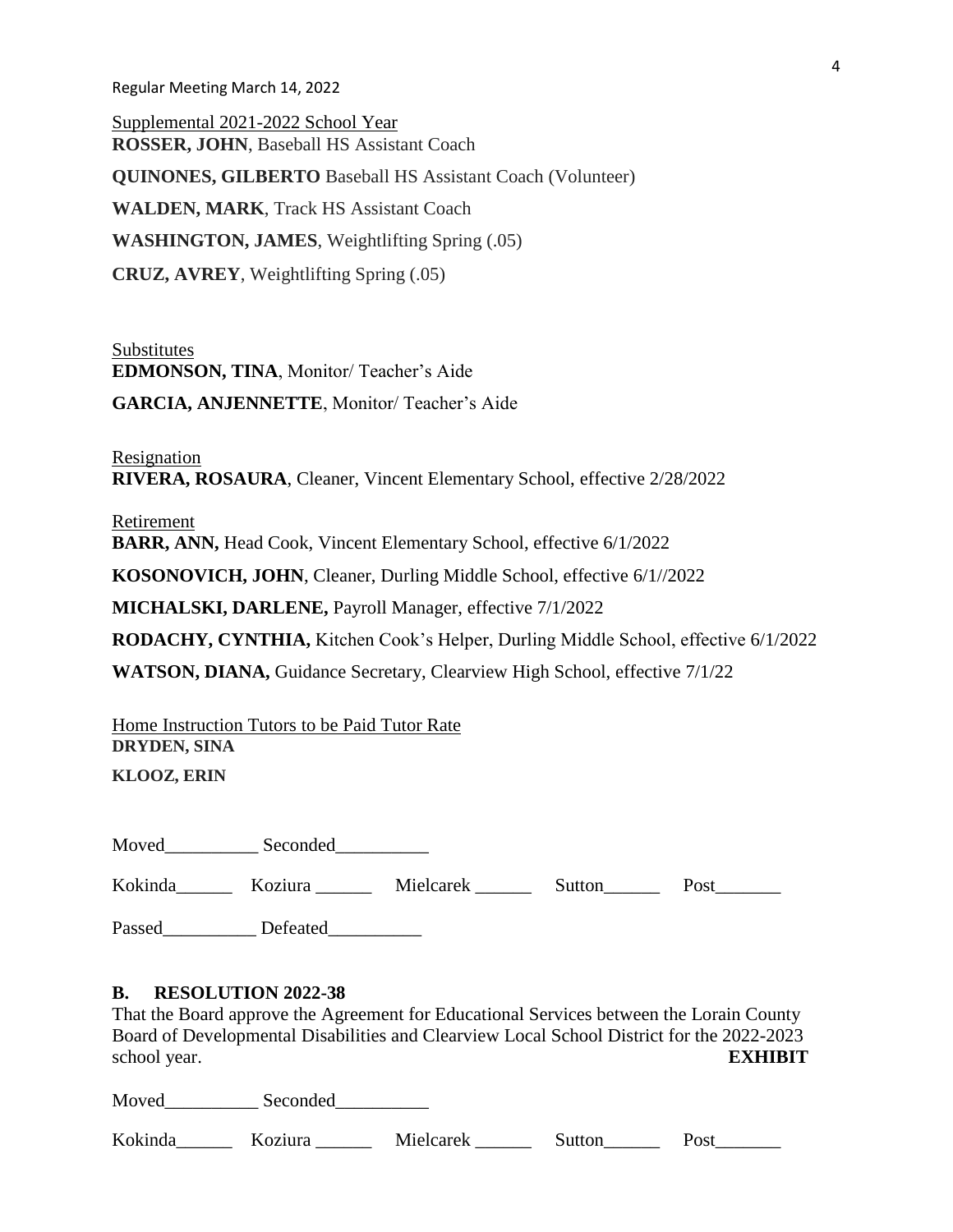Supplemental 2021-2022 School Year **ROSSER, JOHN**, Baseball HS Assistant Coach **QUINONES, GILBERTO** Baseball HS Assistant Coach (Volunteer) **WALDEN, MARK**, Track HS Assistant Coach **WASHINGTON, JAMES**, Weightlifting Spring (.05) **CRUZ, AVREY**, Weightlifting Spring (.05)

Substitutes **EDMONSON, TINA**, Monitor/ Teacher's Aide

**GARCIA, ANJENNETTE**, Monitor/ Teacher's Aide

Resignation **RIVERA, ROSAURA**, Cleaner, Vincent Elementary School, effective 2/28/2022

Retirement

**BARR, ANN,** Head Cook, Vincent Elementary School, effective 6/1/2022

**KOSONOVICH, JOHN**, Cleaner, Durling Middle School, effective 6/1//2022

**MICHALSKI, DARLENE,** Payroll Manager, effective 7/1/2022

**RODACHY, CYNTHIA,** Kitchen Cook's Helper, Durling Middle School, effective 6/1/2022

**WATSON, DIANA,** Guidance Secretary, Clearview High School, effective 7/1/22

Home Instruction Tutors to be Paid Tutor Rate **DRYDEN, SINA** 

**KLOOZ, ERIN**

Moved\_\_\_\_\_\_\_\_\_\_\_\_ Seconded\_\_\_\_\_\_\_\_\_\_\_

Kokinda Koziura Mielcarek Sutton Post

Passed\_\_\_\_\_\_\_\_\_\_\_\_ Defeated\_\_\_\_\_\_\_\_\_\_\_

## **B. RESOLUTION 2022-38**

That the Board approve the Agreement for Educational Services between the Lorain County Board of Developmental Disabilities and Clearview Local School District for the 2022-2023 school year. **EXHIBIT**

Moved Seconded

Kokinda\_\_\_\_\_\_ Koziura \_\_\_\_\_\_ Mielcarek \_\_\_\_\_\_ Sutton\_\_\_\_\_ Post\_\_\_\_\_\_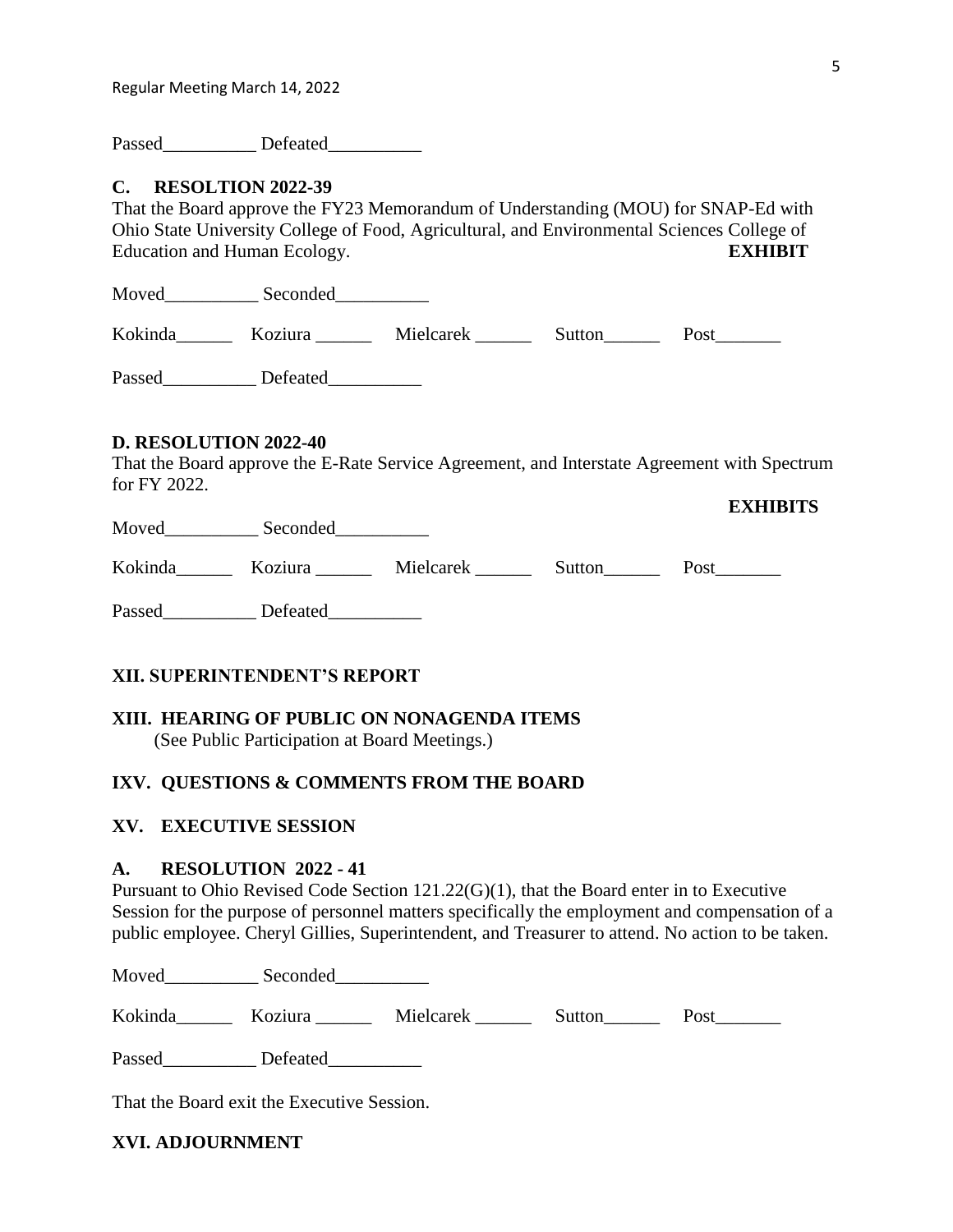Passed Defeated

## **C. RESOLTION 2022-39**

That the Board approve the FY23 Memorandum of Understanding (MOU) for SNAP-Ed with Ohio State University College of Food, Agricultural, and Environmental Sciences College of Education and Human Ecology. **EXHIBIT**

Moved\_\_\_\_\_\_\_\_\_\_\_\_ Seconded\_\_\_\_\_\_\_\_\_\_\_\_\_

Kokinda\_\_\_\_\_\_ Koziura \_\_\_\_\_\_ Mielcarek \_\_\_\_\_\_ Sutton\_\_\_\_\_\_ Post\_\_\_\_\_\_\_

Passed Defeated

## **D. RESOLUTION 2022-40**

That the Board approve the E-Rate Service Agreement, and Interstate Agreement with Spectrum for FY 2022.

Moved\_\_\_\_\_\_\_\_\_\_ Seconded\_\_\_\_\_\_\_\_\_\_

Kokinda\_\_\_\_\_\_ Koziura \_\_\_\_\_ Mielcarek \_\_\_\_\_\_ Sutton\_\_\_\_\_ Post\_\_\_\_\_\_\_

Passed\_\_\_\_\_\_\_\_\_\_\_\_ Defeated\_\_\_\_\_\_\_\_\_\_\_

# **XII. SUPERINTENDENT'S REPORT**

# **XIII. HEARING OF PUBLIC ON NONAGENDA ITEMS**

(See Public Participation at Board Meetings.)

# **IXV. QUESTIONS & COMMENTS FROM THE BOARD**

# **XV. EXECUTIVE SESSION**

## **A. RESOLUTION 2022 - 41**

Pursuant to Ohio Revised Code Section 121.22(G)(1), that the Board enter in to Executive Session for the purpose of personnel matters specifically the employment and compensation of a public employee. Cheryl Gillies, Superintendent, and Treasurer to attend. No action to be taken.

Moved Seconded

Kokinda\_\_\_\_\_\_\_ Koziura \_\_\_\_\_\_ Mielcarek \_\_\_\_\_\_ Sutton\_\_\_\_\_\_ Post\_\_\_\_\_\_\_

Passed\_\_\_\_\_\_\_\_\_\_\_\_ Defeated\_\_\_\_\_\_\_\_\_\_\_

That the Board exit the Executive Session.

**XVI. ADJOURNMENT**

**EXHIBITS**